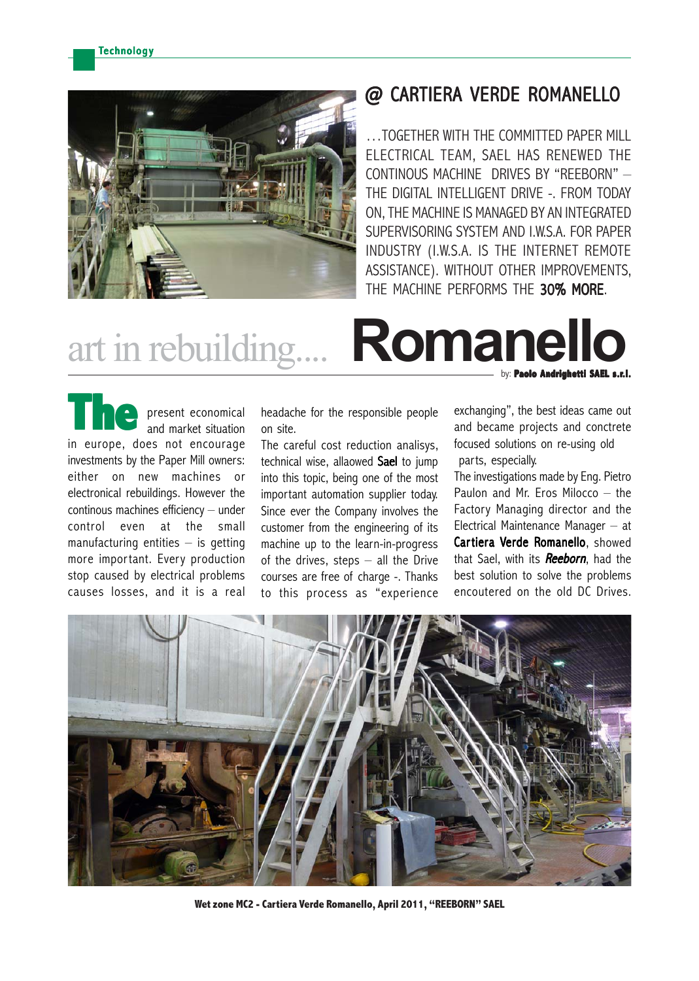

## @ CARTIERA VERDE ROMANELLO

…TOGETHER WITH THE COMMITTED PAPER MILL ELECTRICAL TEAM, SAEL HAS RENEWED THE CONTINOUS MACHINE DRIVES BY "REEBORN" – THE DIGITAL INTELLIGENT DRIVE -. FROM TODAY ON, THE MACHINE IS MANAGED BY AN INTEGRATED SUPERVISORING SYSTEM AND I.W.S.A. FOR PAPER INDUSTRY (I.W.S.A. IS THE INTERNET REMOTE ASSISTANCE). WITHOUT OTHER IMPROVEMENTS, THE MACHINE PERFORMS THE 30% MORE.

# by: **Paolo Andrighetti SAEL s.r.l.** art in rebuilding.... **Romanello**

present economical and market situation in europe, does not encourage investments by the Paper Mill owners: either on new machines or electronical rebuildings. However the continous machines efficiency – under control even at the small manufacturing entities  $-$  is getting more important. Every production stop caused by electrical problems causes losses, and it is a real **The**

headache for the responsible people on site.

The careful cost reduction analisys, technical wise, allaowed Sael to jump into this topic, being one of the most important automation supplier today. Since ever the Company involves the customer from the engineering of its machine up to the learn-in-progress of the drives, steps  $-$  all the Drive courses are free of charge -. Thanks to this process as "experience exchanging", the best ideas came out and became projects and conctrete focused solutions on re-using old parts, especially.

The investigations made by Eng. Pietro Paulon and Mr. Eros Milocco – the Factory Managing director and the Electrical Maintenance Manager – at Cartiera Verde Romanello, showed that Sael, with its **Reeborn**, had the best solution to solve the problems encoutered on the old DC Drives.



**Wet zone MC2 - Cartiera Verde Romanello, April 2011, "REEBORN" SAEL**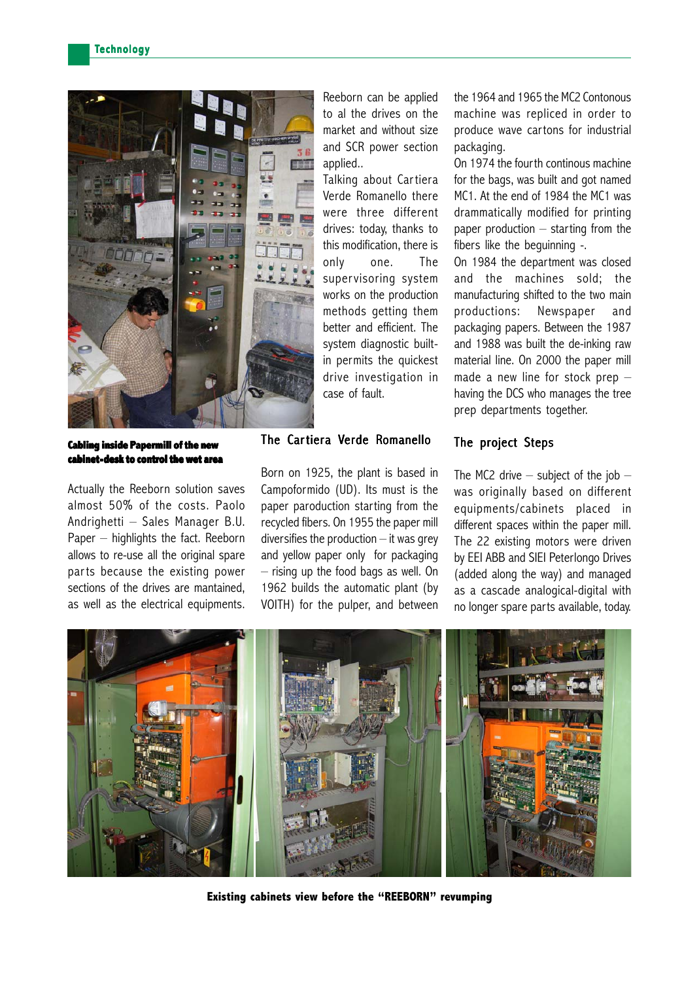

**Cabling inside Papermill of the new cabinet-desk to control the wet area**

Actually the Reeborn solution saves almost 50% of the costs. Paolo Andrighetti – Sales Manager B.U. Paper – highlights the fact. Reeborn allows to re-use all the original spare parts because the existing power sections of the drives are mantained, as well as the electrical equipments. Reeborn can be applied to al the drives on the market and without size and SCR power section applied..

Talking about Cartiera Verde Romanello there were three different drives: today, thanks to this modification, there is only one. The supervisoring system works on the production methods getting them better and efficient. The system diagnostic builtin permits the quickest drive investigation in case of fault.

#### The Cartiera Verde Romanello

Born on 1925, the plant is based in Campoformido (UD). Its must is the paper paroduction starting from the recycled fibers. On 1955 the paper mill diversifies the production  $-$  it was grey and yellow paper only for packaging – rising up the food bags as well. On 1962 builds the automatic plant (by VOITH) for the pulper, and between the 1964 and 1965 the MC2 Contonous machine was repliced in order to produce wave cartons for industrial packaging.

On 1974 the fourth continous machine for the bags, was built and got named MC1. At the end of 1984 the MC1 was drammatically modified for printing paper production – starting from the fibers like the beguinning -.

On 1984 the department was closed and the machines sold; the manufacturing shifted to the two main productions: Newspaper and packaging papers. Between the 1987 and 1988 was built the de-inking raw material line. On 2000 the paper mill made a new line for stock prep – having the DCS who manages the tree prep departments together.

#### The project Steps

The MC2 drive  $-$  subject of the job  $$ was originally based on different equipments/cabinets placed in different spaces within the paper mill. The 22 existing motors were driven by EEI ABB and SIEI Peterlongo Drives (added along the way) and managed as a cascade analogical-digital with no longer spare parts available, today.



**Existing cabinets view before the "REEBORN" revumping**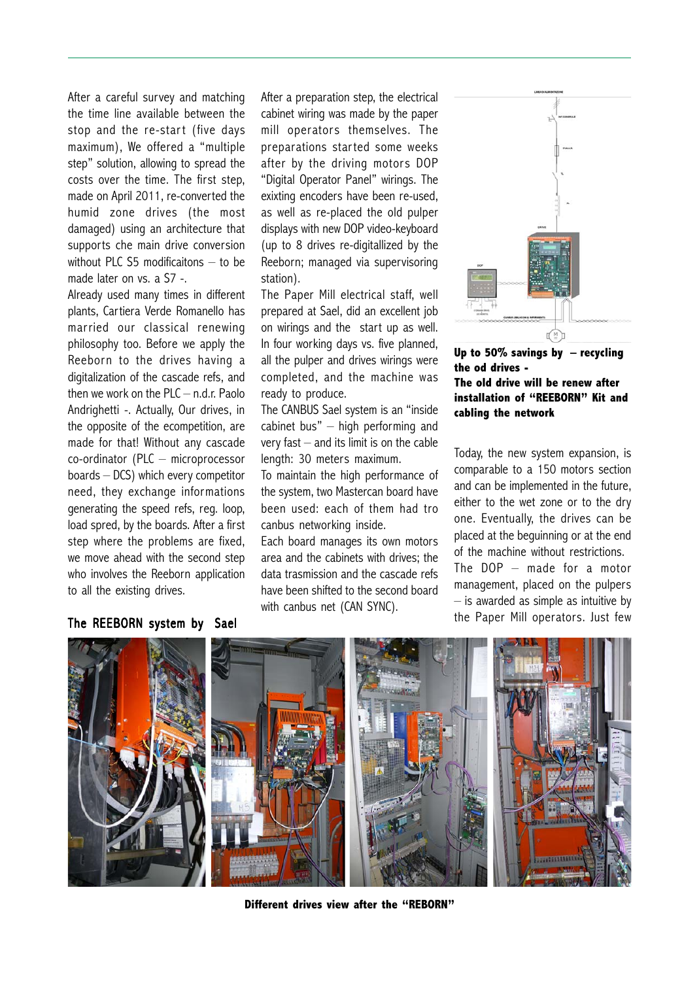After a careful survey and matching the time line available between the stop and the re-start (five days maximum), We offered a "multiple step" solution, allowing to spread the costs over the time. The first step, made on April 2011, re-converted the humid zone drives (the most damaged) using an architecture that supports che main drive conversion without PLC S5 modificaitons – to be made later on vs. a S7 -.

Already used many times in different plants, Cartiera Verde Romanello has married our classical renewing philosophy too. Before we apply the Reeborn to the drives having a digitalization of the cascade refs, and then we work on the PLC – n.d.r. Paolo Andrighetti -. Actually, Our drives, in the opposite of the ecompetition, are made for that! Without any cascade co-ordinator (PLC – microprocessor boards – DCS) which every competitor need, they exchange informations generating the speed refs, reg. loop, load spred, by the boards. After a first step where the problems are fixed, we move ahead with the second step who involves the Reeborn application to all the existing drives.

After a preparation step, the electrical cabinet wiring was made by the paper mill operators themselves. The preparations started some weeks after by the driving motors DOP "Digital Operator Panel" wirings. The exixting encoders have been re-used, as well as re-placed the old pulper displays with new DOP video-keyboard (up to 8 drives re-digitallized by the Reeborn; managed via supervisoring station).

The Paper Mill electrical staff, well prepared at Sael, did an excellent job on wirings and the start up as well. In four working days vs. five planned, all the pulper and drives wirings were completed, and the machine was ready to produce.

The CANBUS Sael system is an "inside cabinet bus" – high performing and very fast  $-$  and its limit is on the cable length: 30 meters maximum.

To maintain the high performance of the system, two Mastercan board have been used: each of them had tro canbus networking inside.

Each board manages its own motors area and the cabinets with drives; the data trasmission and the cascade refs have been shifted to the second board with canbus net (CAN SYNC).



**Up to 50% savings by – recycling the od drives - The old drive will be renew after installation of "REEBORN" Kit and cabling the network**

Today, the new system expansion, is comparable to a 150 motors section and can be implemented in the future, either to the wet zone or to the dry one. Eventually, the drives can be placed at the beguinning or at the end of the machine without restrictions. The DOP – made for a motor management, placed on the pulpers – is awarded as simple as intuitive by the Paper Mill operators. Just few

### The REEBORN system by Sael



**Different drives view after the "REBORN"**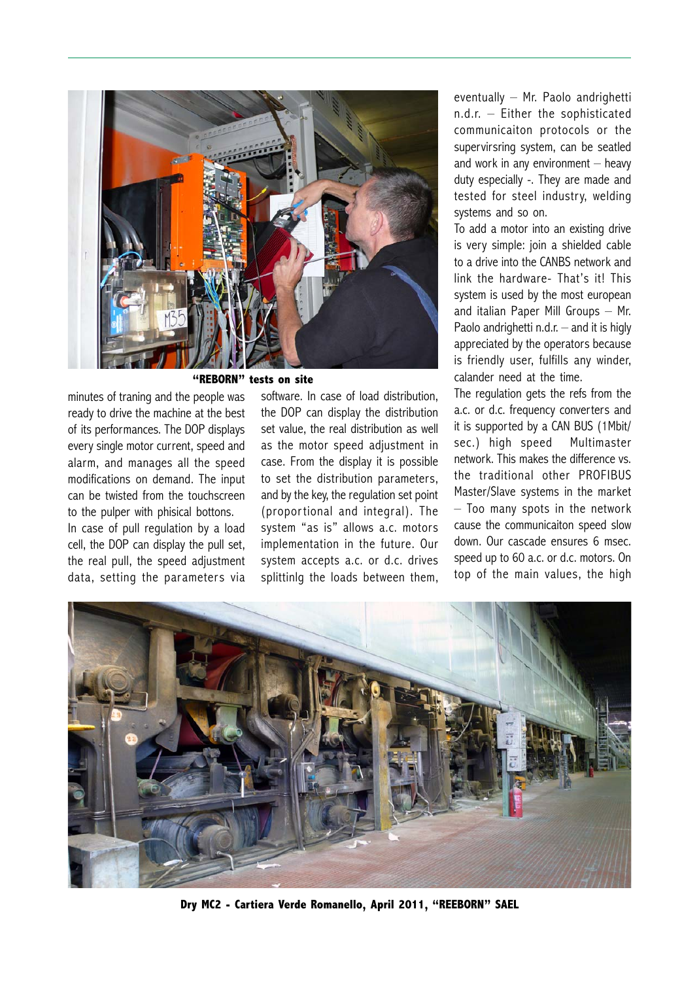

**"REBORN" tests on site**

minutes of traning and the people was ready to drive the machine at the best of its performances. The DOP displays every single motor current, speed and alarm, and manages all the speed modifications on demand. The input can be twisted from the touchscreen to the pulper with phisical bottons.

In case of pull regulation by a load cell, the DOP can display the pull set, the real pull, the speed adjustment data, setting the parameters via software. In case of load distribution, the DOP can display the distribution set value, the real distribution as well as the motor speed adjustment in case. From the display it is possible to set the distribution parameters, and by the key, the regulation set point (proportional and integral). The system "as is" allows a.c. motors implementation in the future. Our system accepts a.c. or d.c. drives splittinlg the loads between them, eventually – Mr. Paolo andrighetti n.d.r. – Either the sophisticated communicaiton protocols or the supervirsring system, can be seatled and work in any environment  $-$  heavy duty especially -. They are made and tested for steel industry, welding systems and so on.

To add a motor into an existing drive is very simple: join a shielded cable to a drive into the CANBS network and link the hardware- That's it! This system is used by the most european and italian Paper Mill Groups – Mr. Paolo andrighetti  $n.d.r.$  – and it is higly appreciated by the operators because is friendly user, fulfills any winder, calander need at the time.

The regulation gets the refs from the a.c. or d.c. frequency converters and it is supported by a CAN BUS (1Mbit/ sec.) high speed Multimaster network. This makes the difference vs. the traditional other PROFIBUS Master/Slave systems in the market – Too many spots in the network cause the communicaiton speed slow down. Our cascade ensures 6 msec. speed up to 60 a.c. or d.c. motors. On top of the main values, the high



**Dry MC2 - Cartiera Verde Romanello, April 2011, "REEBORN" SAEL**